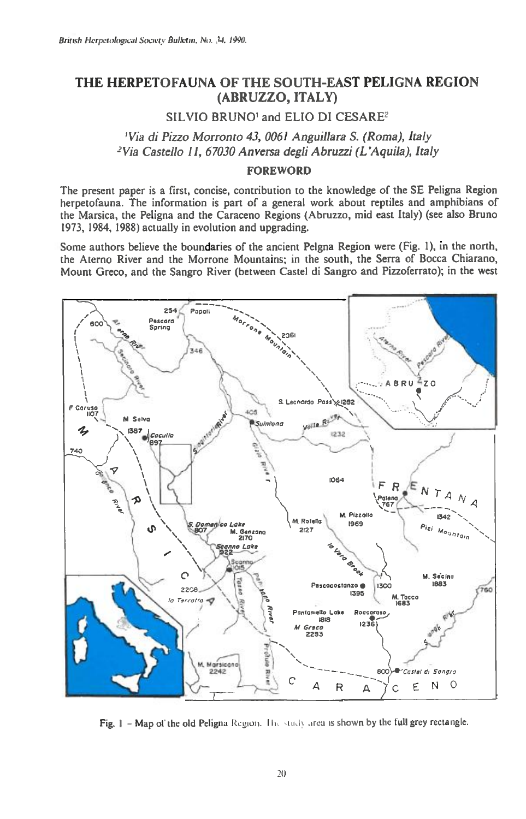# **THE HERPETOFAUNA OF THE SOUTH-EAST PELIGNA REGION (ABRUZZO, ITALY)**

**SILVIO BRUNO' and ELIO DI CESARE2** 

# *'Via di Pizzo Morronto 43, 0061 Anguillara S. (Roma), Italy 'Via Castello 11, 67030 An versa degli Abruzzi (L'Aquila), Italy*

### **FOREWORD**

The present paper is a first, concise, contribution to the knowledge of the SE Peligna Region herpetofauna. The information is part of a general work about reptiles and amphibians of the Marsica, the Peligna and the Caraceno Regions (Abruzzo, mid east Italy) (see also Bruno 1973, 1984, 1988) actually in evolution and upgrading.

Some authors believe the boundaries of the ancient Pelgna Region were (Fig. 1), in the north, the Aterno River and the Morrone Mountains; in the south, the Serra of Bocca Chiarano, Mount Greco, and the Sangro River (between Castel di Sangro and Pizzoferrato); in the west



Fig. 1 - Map of the old Peligna Region. The study area is shown by the full grey rectangle.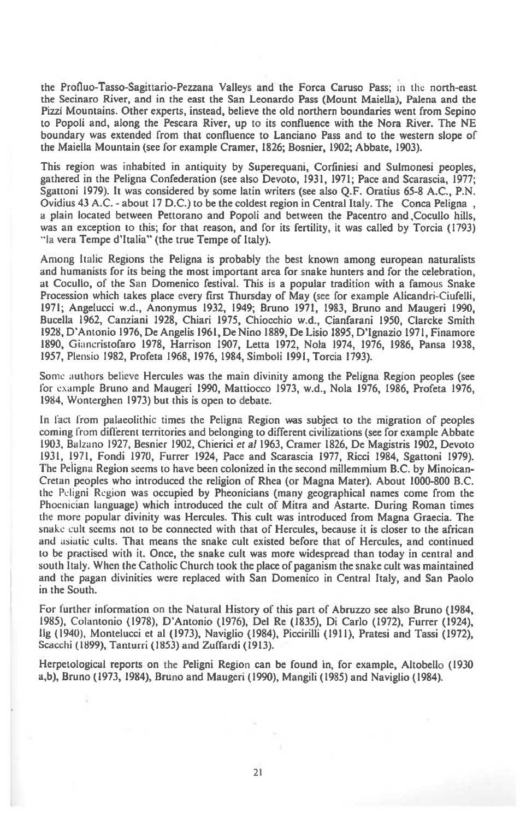the Profluo-Tasso-Sagittario-Pezzana Valleys and the Forca Caruso Pass; in the north-east the Secinaro River, and in the east the San Leonardo Pass (Mount Maiella), Palena and the Pizzi Mountains. Other experts, instead, believe the old northern boundaries went from Sepino to Popoli and, along the Pescara River, up to its confluence with the Nora River. The NE boundary was extended from that confluence to Lanciano Pass and to the western slope of the Maiella Mountain (see for example Cramer, 1826; Bosnier, 1902; Abbate, 1903).

This region was inhabited in antiquity by Superequani, Corfiniesi and Sulmonesi peoples, gathered in the Peligna Confederation (see also Devoto, 1931, 1971; Pace and Scarascia, 1977; Sgattoni 1979). It was considered by some latin writers (see also Q.F. Oratius 65-8 A.C., P.N. Ovidius 43 A.C. - about 17 D.C.) to be the coldest region in Central Italy. The Conca Peligna , a plain located between Pettorano and Popoli and between the Pacentro and ,Cocullo hills, was an exception to this; for that reason, and for its fertility, it was called by Torcia (1793) "la vera Tempe d'Italia" (the true Tempe of Italy).

Among Italic Regions the Peligna is probably the best known among european naturalists and humanists for its being the most important area for snake hunters and for the celebration, at Cocullo, of the San Domenico festival. This is a popular tradition with a famous Snake Procession which takes place every first Thursday of May (see for example Alicandri-Ciufelli, 1971; Angelucci w.d., Anonymus 1932, 1949; Bruno 1971, 1983, Bruno and Maugeri 1990, Bucella 1962, Canziani 1928, Chiari 1975, Chiocchio w.d., Cianfarani 1950, Clarcke Smith 1928, D'Antonio 1976, De Angelis 1961, De Nino 1889, De Lisio 1895, D'Ignazio 1971, Finamore 1890, Giancristofaro 1978, Harrison 1907, Letta 1972, Nola 1974, 1976, 1986, Pansa 1938, 1957, Plensio 1982, Profeta 1968, 1976, 1984, Simboli 1991, Torcia 1793).

Some authors believe Hercules was the main divinity among the Peligna Region peoples (see for example Bruno and Maugeri 1990, Mattiocco 1973, w.d., Nola 1976, 1986, Profeta 1976, 1984, Wonterghen 1973) but this is open to debate.

In fact from palaeolithic times the Peligna Region was subject to the migration of peoples coming from different territories and belonging to different civilizations (see for example Abbate 1903, Balzano 1927, Besnier 1902, Chierici *et al* 1963, Cramer 1826, De Magistris 1902, Devoto 1931, 1971, Fondi 1970, Furrer 1924, Pace and Scarascia 1977, Ricci 1984, Sgattoni 1979). The Peligna Region seems to have been colonized in the second millemmium B.C. by Minoican-Cretan peoples who introduced the religion of Rhea (or Magna Mater). About 1000-800 B.C. the Peligni Region was occupied by Pheonicians (many geographical names come from the Phoenician language) which introduced the cult of Mitra and Astarte. During Roman times the more popular divinity was Hercules. This cult was introduced from Magna Graecia. The snake cult seems not to be connected with that of Hercules, because it is closer to the african and asiatic cults. That means the snake cult existed before that of Hercules, and continued to be practised with it. Once, the snake cult was more widespread than today in central and south Italy. When the Catholic Church took the place of paganism the snake cult was maintained and the pagan divinities were replaced with San Domenico in Central Italy, and San Paolo in the South.

For further information on the Natural History of this part of Abruzzo see also Bruno (1984, 1985), Colantonio (1978), D'Antonio (1976), Del Re (1835), Di Carlo (1972), Furrer (1924), Ilg (1940), Montelucci et al (1973), Naviglio (1984), Piccirilli (1911), Pratesi and Tassi (1972), Scacchi (1899), Tanturri (1853) and Zuffardi (1913).

Herpetological reports on the Peligni Region can be found in, for example, Altobello (1930 a,b), Bruno (1973, 1984), Bruno and Maugeri (1990), Mangili (1985) and Naviglio (1984).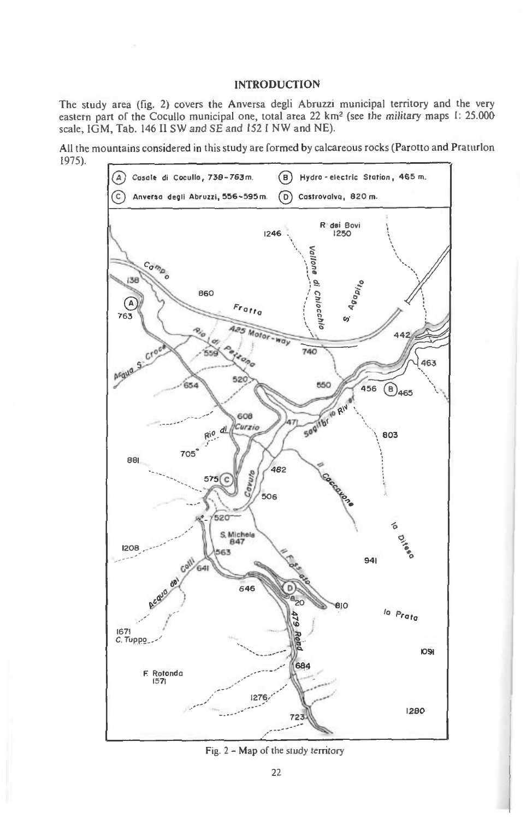### INTRODUCTION

The study area (fig. 2) covers the Anversa degli Abruzzi municipal territory and the very eastern part of the Cocullo municipal one, total area 22 km<sup>2</sup> (see the military maps 1: 25.000 scale, IGM, Tab. 146 II SW and SE and 152 I NW and NE).

All the mountains considered in this study are formed by calcareous rocks (Parotto and Praturlon 1975).



Fig. 2 - Map of the study territory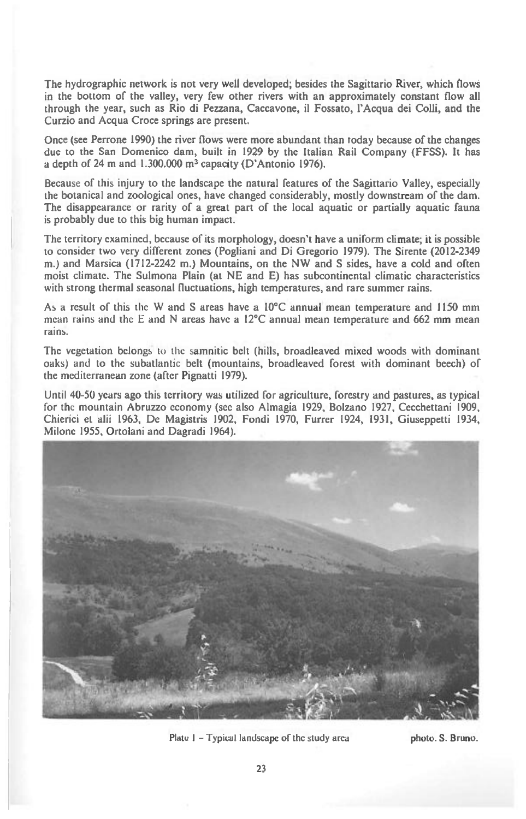The hydrographic network is not very well developed; besides the Sagittario River, which flows in the bottom of the valley, very few other rivers with an approximately constant flow all through the year, such as Rio di Pezzana, Caccavone, it Fossato, l'Acqua dei Colli, and the Curzio and Acqua Croce springs are present.

Once (see Perrone 1990) the river flows were more abundant than today because of the changes due to the San Domenico dam, built in 1929 by the Italian Rail Company (FFSS). It has a depth of 24 m and 1.300.000 m<sup>3</sup> capacity (D'Antonio 1976).

Because of this injury to the landscape the natural features of the Sagittario Valley, especially the botanical and zoological ones, have changed considerably, mostly downstream of the dam. The disappearance or rarity of a great part of the local aquatic or partially aquatic fauna is probably due to this big human impact.

The territory examined, because of its morphology, doesn't have a uniform climate; it is possible to consider two very different zones (Pogliani and Di Gregorio 1979). The Sirente (2012-2349 m.) and Marsica (1712-2242 m.) Mountains, on the NW and S sides, have a cold and often moist climate. The Sulmona Plain (at NE and E) has subcontinental climatic characteristics with strong thermal seasonal fluctuations, high temperatures, and rare summer rains.

As a result of this the W and S areas have a 10°C annual mean temperature and 1150 mm mean rains and the E and N areas have a 12°C annual mean temperature and 662 mm mean rains.

The vegetation belongs to the samnitic belt (hills, broadleaved mixed woods with dominant oaks) and to the subatlantic belt (mountains, broadleaved forest with dominant beech) of the mediterranean zone (after Pignatti 1979).

Until 40-50 years ago this territory was utilized for agriculture, forestry and pastures, as typical for the mountain Abruzzo economy (see also Almagia 1929, Bolzano 1927, Cecchettani 1909, Chierici et alii 1963, De Magistris 1902, Fondi 1970, Furrer 1924, 1931, Giuseppetti 1934, Milonc 1955, Ortolani and Dagradi 1964).



**Plate I — Typical landscape of the study arca** 

**photo. S. Bruno.**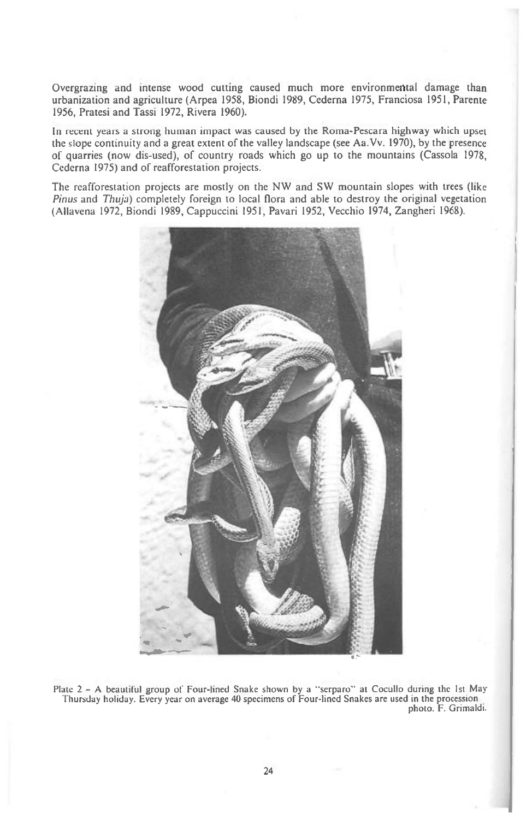Overgrazing and intense wood cutting caused much more environmental damage than urbanization and agriculture (Arpea 1958, Biondi 1989, Cederna 1975, Franciosa 1951, Parente 1956, Pratesi and Tassi 1972, Rivera 1960).

In recent years a strong human impact was caused by the Roma-Pescara highway which upset the slope continuity and a great extent of the valley landscape (see Aa.Vv. 1970), by the presence of quarries (now dis-used), of country roads which go up to the mountains (Cassola 1978, Cederna 1975) and of reafforestation projects.

The reafforestation projects are mostly on the NW and SW mountain slopes with trees (like *Pinus* and *Thuja)* completely foreign to local flora and able to destroy the original vegetation (Allavena 1972, Biondi 1989, Cappuccini 1951, Pavari 1952, Vecchio 1974, Zangheri 1968).



Plate 2 - A beautiful group of Four-lined Snake shown by a "serparo" at Cocullo during the 1st *May*  Thursday holiday. Every year on average 40 specimens of Four-lined Snakes are used in the procession photo. F. Grimaldi.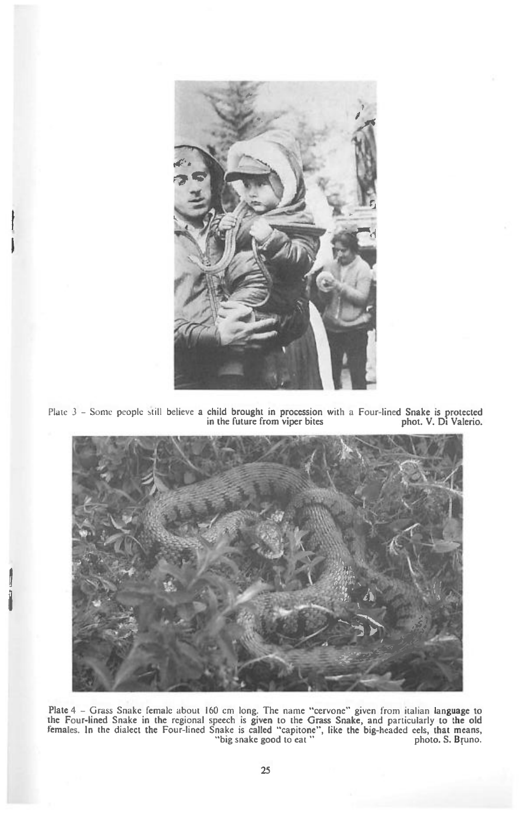

Plate 3 - **Some people still believe a child brought in procession with a Four-lined Snake is protected in the future from viper bites phot. V. Di Valerio.** 



Plate 4 – Grass Snake female about 160 cm long. The name "cervone" given from italian language to the Four-lined Snake in the regional speech is given to the Grass Snake, and particularly to the old females. In the dialect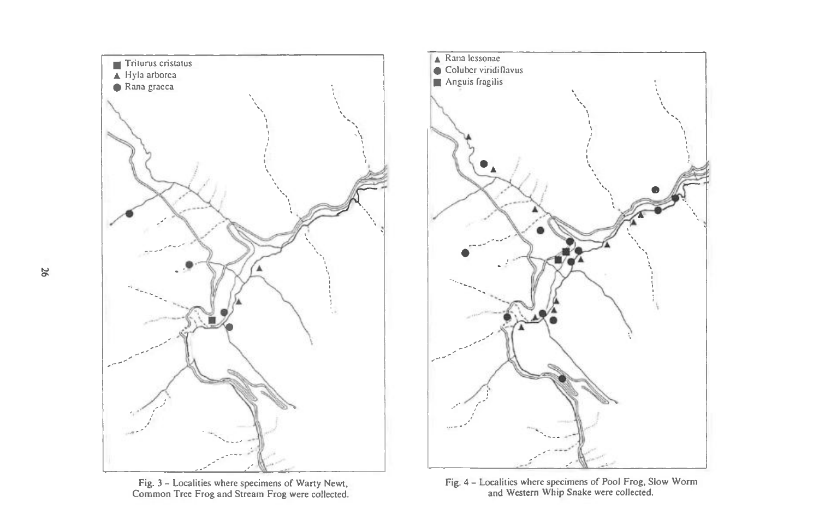





Fig. 4 — Localities where specimens of Pool Frog, Slow Worm and Western Whip Snake were collected.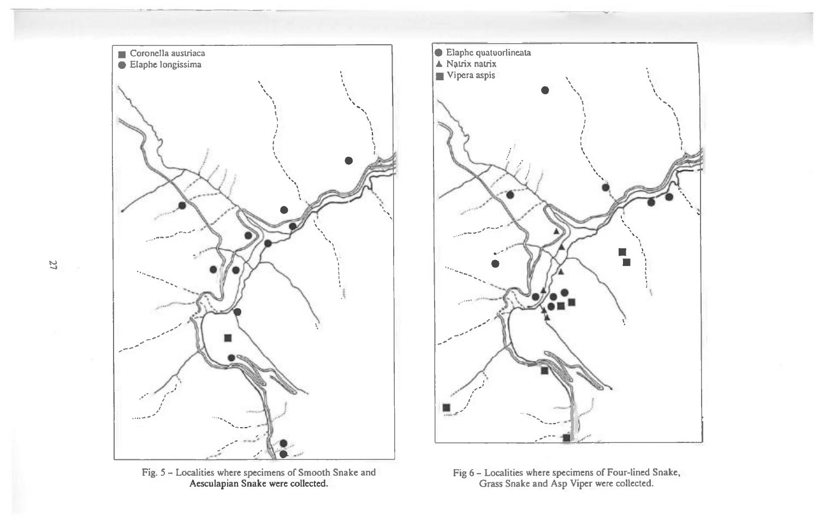

Fig. 5 - Localities where specimens of Smooth Snake and Aesculapian Snake were collected.



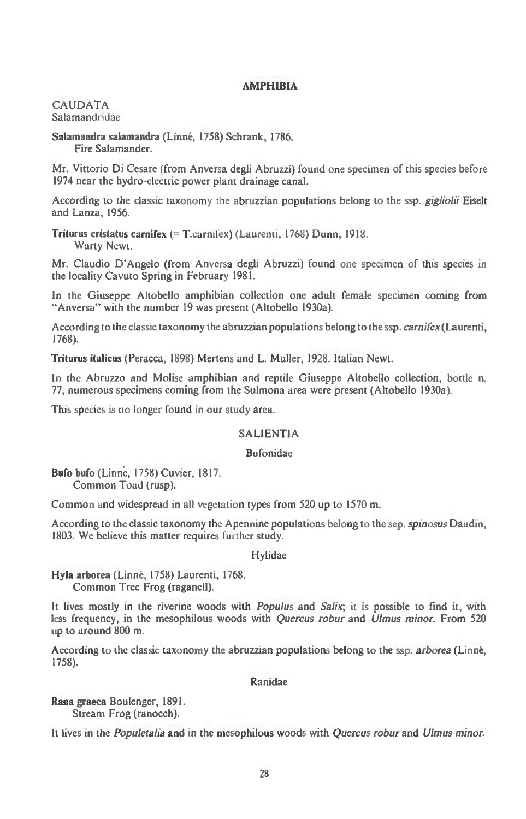### **AMPHIBIA**

**CAUDATA Salamandridae** 

#### Salamandra salamandra (Linné, 1758) Schrank, 1786. **Fire Salamander.**

**Mr. Vittorio Di Cesare (from Anversa degli Abruzzi) found one specimen of this species before 1974 near the hydro-electric power plant drainage canal.** 

**According to the classic taxonomy** the **abruzzian populations belong to the ssp. gigliolii Eiselt and Lanza, 1956.** 

**Triturus cristatus carnifex (= T.carnifex) (Laurenti, 1768) Dunn, 1918.** 

**Warty Newt.** 

**Mr. Claudio D'Angelo (from Anversa degli Abruzzi) found one specimen of this species in the locality Cavuto Spring in February 1981.** 

**In the Giuseppe Altobello amphibian collection one adult female specimen coming from "Anversa" with the number 19 was present (Altobello 1930a).** 

**According to the classic taxonomy the abruzzian populations belong to the ssp.** *carnifex* **(Laurenti, 1768).** 

**Triturus italicus (Peracca, 1898) Mertens and L. Muller, 1928. Italian Newt.** 

**In the Abruzzo and Molise amphibian and reptile Giuseppe Altobello collection, bottle n. 77, numerous specimens coming from the Sulmona area were present (Altobello 1930a).** 

**This species is no longer found in our study area.** 

### **SALIENTIA**

### **Bufonidae**

**Bufo bufo (Linne, 1758) Cuvier, 1817. Common Toad (rusp).** 

**Common and widespread in all vegetation types from 520 up to 1570 m.** 

**According to the classic taxonomy the Apennine populations belong to the sep.** *spinosus* **Daudin, 1803. We believe this matter requires** further **study.** 

### **Hylidae**

Hyla arborea (Linné, 1758) Laurenti, 1768. **Common Tree Frog (raganell).** 

**It lives mostly in the riverine woods** *with Populus* **and** *Sahx•, it* **is possible to find it, with less frequency, in the mesophilous woods with** *Quercus robur* **and** *Ulmus minor.* **From 520 up to around 800 m.** 

According to the classic taxonomy the abruzzian populations belong to the ssp. *arborea* (Linné, **1758).** 

## **Ranidae**

**Rana graeca Boulenger, 1891. Stream Frog (ranocch).** 

**It lives in the** *Populetalia* **and in the mesophilous woods with** *Quercus robur* **and** *Ulmus minor.*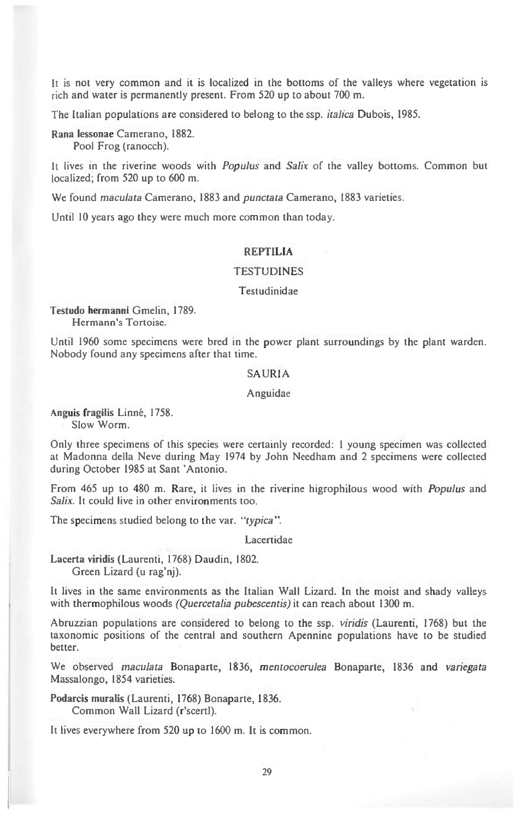It is not very common and it is localized in the bottoms of the valleys where vegetation is rich and water is permanently present. From 520 up to about 700 m.

The Italian populations are considered to belong to the ssp. *italica* Dubois, 1985.

Rana lessonae Camerano, 1882. Pool Frog (ranocch).

It lives in the riverine woods with *Populus* and *Salix* of the valley bottoms. Common but localized; from 520 up to 600 m.

We found maculata Camerano, 1883 and punctata Camerano, 1883 varieties.

Until 10 years ago they were much more common than today.

## **REPTILIA**

### **TESTUDINES**

#### Testudinidae

**Testudo hermanni** Gmelin, 1789. Hermann's Tortoise.

Until 1960 some specimens were bred in the power plant surroundings by the plant warden. Nobody found any specimens after that time.

#### SAURIA

### Anguidae

Anguis fragilis Linné, 1758. Slow Worm.

Only three specimens of this species were certainly recorded: 1 young specimen was collected at Madonna della Neve during May 1974 by John Needham and 2 specimens were collected during October 1985 at Sant 'Antonio.

From 465 up to 480 m. Rare, it lives in the riverine higrophilous wood with Populus and Salix. It could live in other environments too.

The specimens studied belong to the var. "typica".

Lacertidae

**Lacerta viridis** (Laurenti, 1768) Daudin, 1802. Green Lizard (u rag'nj).

It lives in the same environments as the Italian Wall Lizard. In the moist and shady valleys with thermophilous woods (Quercetalia pubescentis) it can reach about 1300 m.

Abruzzian populations are considered to belong to the ssp. viridis (Laurenti, 1768) but the taxonomic positions of the central and southern Apennine populations have to be studied better.

We observed maculata Bonaparte, 1836, mentocoerulea Bonaparte, 1836 and variegata Massalongo, 1854 varieties.

**Podarcis muralis (Laurenti, 1768) Bonaparte, 1836. Common Wall Lizard (r'scertl).** 

**It lives everywhere from 520 up to 1600 m. It is common.**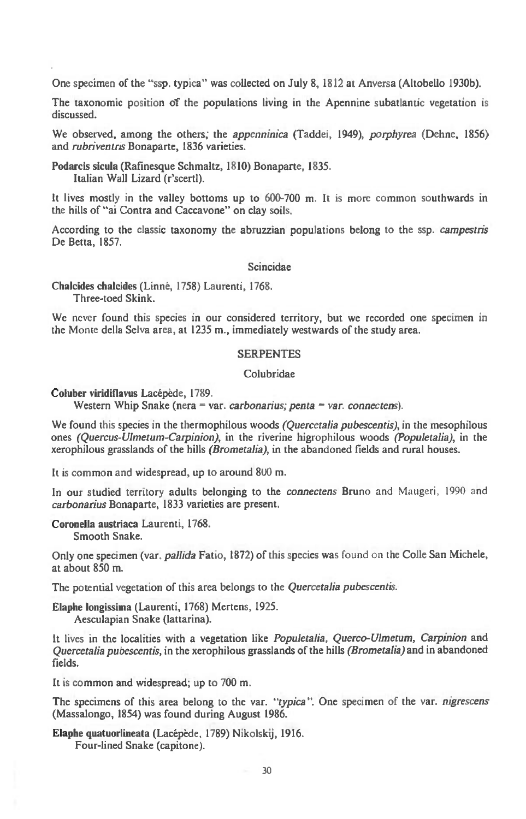**One specimen of the "ssp. typica" was collected on July 8, 1812 at Anversa (Altobello 1930b).** 

**The taxonomic position of the populations living in the Apennine subatlantic vegetation is discussed.** 

**We observed, among the others; the** *appenninica* **(Taddei, 1949),** *porphyrea* **(Dehne, 1856) and** *rubriventris* **Bonaparte, 1836 varieties.** 

**Podarcis sicula (Rafinesque Schmaltz, 1810) Bonaparte, 1835. Italian Wall Lizard (r'scertl).** 

**It lives mostly in the valley bottoms up to 600-700 m. It is more common southwards in the hills of "ai Contra and Caccavone" on clay soils.** 

**According to the classic taxonomy the abruzzian populations belong to the ssp.** *campestris*  **De Betta, 1857.** 

### **Scincidae**

**Chalcides chalcides (Linne, 1758) Laurenti, 1768. Three-toed Skink.** 

**We never found this species in our considered territory, but we recorded one specimen in the Monte della Selva area, at 1235 m., immediately westwards of the study area.** 

### **SERPENTES**

### **Colubridae**

Coluber viridiflavus Lacépède, 1789.

**Western Whip Snake (nera = var.** *carbonarius; penta = var. connectens).* 

**We found this species in the thermophilous woods** *(Quercetalia pubescentis),* **in the mesophilous ones** *(Quercus-Ulmetum-Carpinion), in* **the riverine higrophilous woods** *(Populetalia), in* **the xerophilous grasslands of the hills** *(Brometalia), in* **the abandoned fields and rural houses.** 

**It is common and widespread, up to around 800 m.** 

**In our studied territory adults belonging to the** *connectens* **Bruno** and Maugeri, 1990 and *carbonarius* **Bonaparte, 1833 varieties are present.** 

**Coronella austriaca Laurenti, 1768. Smooth Snake.** 

**Only one specimen (var.** *pallida* **Fatio, 1872) of this species was** found on **the Colle San Michele, at about 850 m.** 

**The potential vegetation of this area belongs to the** *Quercetalia pubescentis.* 

**Elaphe longissima (Laurenti, 1768) Mertens, 1925. Aesculapian Snake (lattarina).** 

**It lives in the localities with a vegetation like** *Populetalia, Querco-Ulmetum, Carpmion* **and**  *Quercetalia pubescentis,* **in the xerophilous grasslands of the hills** *(Brometalia) and* **in abandoned fields.** 

**It is common and widespread; up to 700 m.** 

**The specimens of this area belong to the var.** *"typica".* **One specimen of the var.** *nigrescens*  **(Massalongo, 1854) was found during August 1986.** 

**Elaphe quatuorlineata (Lacepede, 1789) Nikolskij, 1916. Four-lined Snake (capitone).**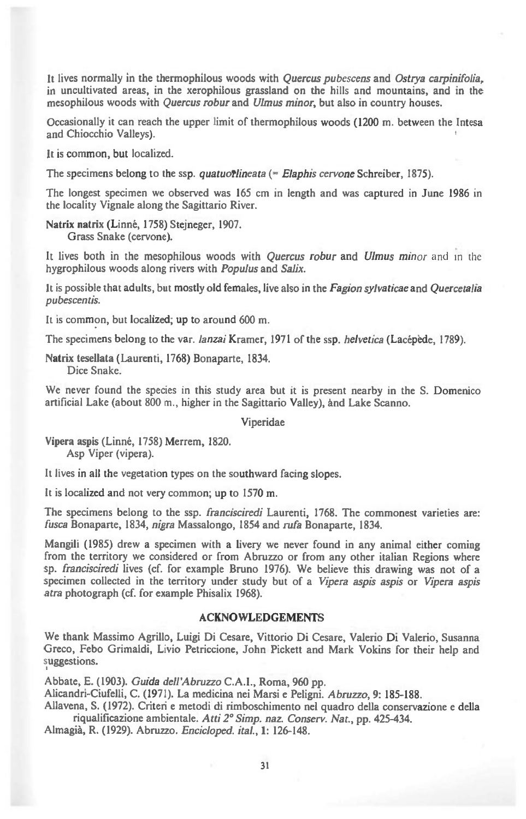**It lives normally in the thermophilous woods with** *Quercus pubescens* **and** *Ostrya carpinifolia,*  **in uncultivated areas, in the xerophilous grassland on the hills and mountains, and in the mesophilous woods with** *Quercus robur* **and** *Ulmus minor,* **but also in country houses.** 

**Occasionally it can reach the upper limit of thermophilous woods (1200 m. between the Intesa and Chiocchio Valleys).** 

**It is common, but localized.** 

The specimens belong to the ssp. *quatuorilineata* (= *Elaphis cervone* Schreiber, 1875).

**The longest specimen we observed was 165 cm in length and was captured in June 1986 in the locality Vignale along the Sagittario River.** 

Natrix natrix (Linné, 1758) Stejneger, 1907. **Grass Snake (cervone).** 

**It lives both in the mesophilous woods with** *Quercus robur* **and** *Ulmus minor* and in the **hygrophilous woods along rivers with** *Populus* **and** *Sal&* 

*It* **is possible that adults, but mostly old females, live also in the** *Fagion sylvaticae* **and** *Quercetaha pubescentis.* 

**It is common, but localized; up to around 600 m.** 

**The specimens belong to the var.** *lanai* **Kramer, 1971 of the ssp.** *helvetica* **(Lacepede, 1789).** 

**Natrix tesellata (Laurenti, 1768) Bonaparte, 1834. Dice Snake.** 

**We never found the species in this study area but it is present nearby in the S. Domenico artificial Lake (about 800 m., higher in the Sagittario Valley), and Lake Scanno.** 

**Viperidae** 

Vipera aspis (Linné, 1758) Merrem, 1820. **Asp Viper (vipera).** 

**It lives in all the vegetation types on the southward facing slopes.** 

**It is localized and not very common; up to 1570 m.** 

**The specimens belong to the ssp.** *francisciredi* **Laurenti, 1768. The commonest varieties are:**  *fusca* **Bonaparte, 1834,** *nigra* **Massalongo, 1854 and** *rufa* **Bonaparte, 1834.** 

**Mangili (1985) drew a specimen with a livery we never found in any animal either coming**  from the territory we considered or from Abruzzo or from any other italian Regions where **sp.** *francisciredi* **lives (cf. for example Bruno 1976). We believe this drawing was not of a specimen collected in the territory under study but of** *a Vipera aspis aspis* **or** *Vipera aspis atm* **photograph (cf. for example Phisalix 1968).** 

### **ACKNOWLEDGEMENTS**

**We thank Massimo Agrillo, Luigi Di Cesare, Vittorio Di Cesare, Valerio Di Valerio, Susanna Greco, Febo Grimaldi, Livio Petriccione, John Pickett and Mark Vokins for their help and suggestions.** 

**Abbate, E. (1903).** *Guida dell'Abruzzo* **C.A.1., Roma, 960 pp.** 

**Alicandri-Ciufelli, C. (1971). La medicina nei Marsi e Peligni.** *Abruzzo,* **9: 185-188.** 

**Allavena, S. (1972). Criteri e metodi di rimboschimento nel quadro della conservazione e della riqualificazione ambientale.** *Atti 2° Simp. naz. Conserv. Nat.,* **pp. 425-434.** 

**Almagia, R. (1929). Abruzzo.** *Encicloped. itaL,1:* **126-148.**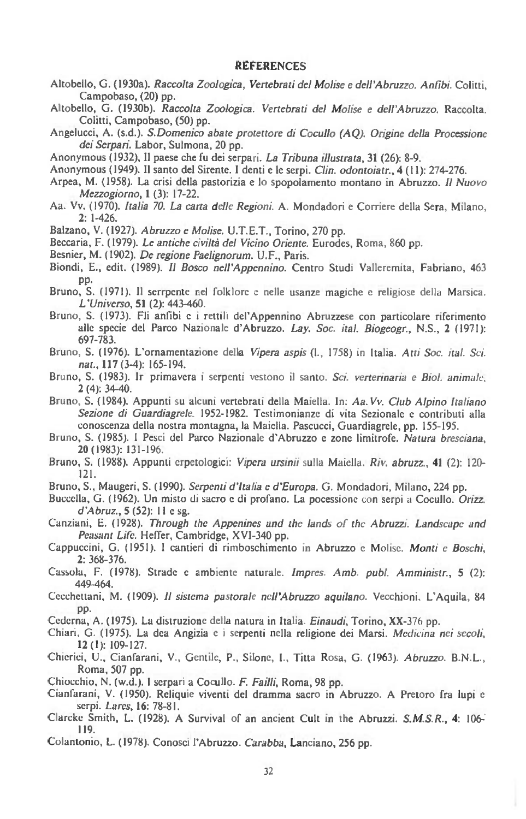#### **REFERENCES**

- Altobello, G. (1930a). *Raccolta Zoologica, Vertebrati del Mohse e dell'Abruzzo. Anfibi.* Colitti, Campobaso, (20) pp.
- Altobello, G. (1930b). *Raccolta Zoologica. Vertebrati del Molise e dell'Abruzzo.* Raccolta. Colitti, Campobaso, (50) pp.
- Angelucci, A. (s.d.). *S.Domenico abate protettore di Cocullo (AQ). Origine della Processione dei Serpari.* Labor, Sulmona, 20 pp.
- Anonymous (1932), 11 paese the fu dei serpari. *La Tribuna illustrata,* 31 (26): 8-9.
- Anonymous (1949). II santo del Sirente. I denti e le serpi. *Clin. odontoiatr., 4 (11):* 274-276.
- Arpea, M. (1958). La crisi della pastorizia e lo spopolamento montano in Abruzzo. II *Nuovo Mezzogiorno, 1* (3): 17-22.
- Aa. Vv. (1970). *Italia 70. La carta delle Regioni.* A. Mondadori e Corriere della Sera, Milano, 2: 1-426.
- Balzano, V. (1927). *Abruzzo e Molise.* U.T.E.T., Torino, 270 pp.
- Beccaria, F. (1979). *Le antiche civilta del Vicino Oriente.* Eurodes, Roma, 860 pp.
- Besnier, M. (1902). *De regione Paelignorum.* U.F., Paris.
- Biondi, E., edit. (1989). *11 Bosco nell'Appennino.* Centro Studi Valleremita, Fabriano, 463 pp.
- Bruno, S. (1971). II serrpente nel folklore c nelle usanze magiche e religiose della Marsica. *L'Universo,* 51 (2): 443-460.
- Bruno, S. (1973). Fli anfibi e i rettili del'Appennino Abruzzese con particolare nferimento alle specie del Parco Nazionale d'Abruzzo. *Lay. Soc. ital. Biogeogr.,* N.S., 2 (1971): 697-783.
- Bruno, S. (1976). L'ornamentazione della *Vipera aspis* (I., 1758) in Italia. *Att; Soc. ital. Sci. nat.,* 117 (3-4): 165-194.
- Bruno, S. (1983). 1r primavera i serpenti vestono i1 santo. *Sci. verterinaria c Biol. animals.*  2 (4): 34-40.
- Bruno, S. (1984). Appunti su alcuni vertebrati della Maiella. In: *Aa. Vv. Club Alpino Itahano*  Sezione di Guardiagrele. 1952-1982. Testimonianze di vita Sezionale e contributi alla conoscenza della nostra montagna, la Maiella. Pascucci, Guardiagrele, pp. 155-195.
- Bruno, S. (1985). I Pesci del Parco Nazionale d'Abruzzo e zone limitrofe. *Natura bresciana,*  20 (1983): I 31-196.
- Bruno, S. (1988). Appunti erpetologici: *Vipera ursinii* sulla Maiella. *Riv. abruzz., 41* (2): 120- 121.
- Bruno, S., Maugeri, S. (1990). *Serpenti d'Europa.* G. Mondadori, Milano, 224 pp.
- Buccclla, G. (1962). Un misto di sacro c di profano. La pocessionc con serpi a *Cocullo. Orizz. d'Abruz.,* 5 (52): 11 c sg.
- Canziani, E. (1928). *Through the Appenines and the lands of the Abruzzi. Landscape and Peasant Life.* Heffer, Cambridge, XVI-340 pp.
- Cappuccini, G. (1951). I cantieri di rimboschimento in Abruzzo e Molise. *Monti c Boschi,*  2: 368-376.
- Cassola, F. (1978). Strade c ambiente naturale. *Impres. Amb. publ. Amministr.,* 5 (2): 449-464.
- Cccchcttani, M. (1909). *II sistcma pastorale ncll'Abruzzo aquilano.* Vecchioni, L'Aquila, 84 pp.
- Cedcrna, A. (1975). La distruzionc della natura in Italia *Einaudi,* Torino, XX-376 pp.
- Chiari, G. (1975). La dca Angizia e i serpenti nella religione dei Marsi. *Medicina nei secoli,*  12 (1): 109-127.
- Chicrici, U., Cianfarani, V., Gentile, P., Silone, I., Titta Rosa, G. (1963). *Abruzzo.* B.N.L., Roma, 507 pp.
- Chiocchio, N. (w.d.). 1 serpari a Cocullo. *F. Failli,* Roma, 98 pp.
- Cianfarani, V. (1950). Reliquie viventi del dramma sacro in Abruzzo. A Pretoro fra lupi e serpi. *Lares,* 16: 78-81.
- Clarcke Smith, L. (1928). A Survival of an ancient Cult in the Abruzzi. *S.M.S.R., 4:* 106-. 119.
- Colantonio, L. (1978). Conosci l'Abruzzo. *Carabba,* Lanciano, 256 pp.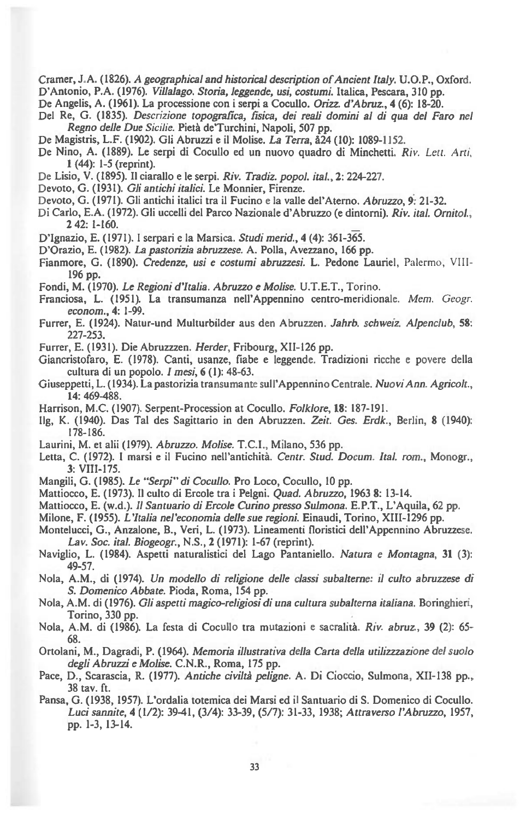**Cramer, J.A. (1826).** *A geographical and historical description of Ancient Italy.* **U.O.P., Oxford.** 

**D'Antonio, P.A. (1976).** *Villalago. Storia, leggende, usi, costumi.* **Italica, Pescara, 310 pp.** 

**De Angelis, A. (1961). La processione con i serpi a Cocullo.** *Orizz. d'Abruz.,* **4 (6): 18-20.** 

- **Del Re, G. (1835).** *Descrizione topografica, fisica, dei reali domini al di qua del Faro nel Regno delle Due Sicilie.* **Pieta de'Turchini, Napoli, 507 pp.**
- *De* **Magistris, L.F. (1902). Gli Abruzzi e it Molise.** *La Terra,* **A24 (10): 1089-1152.**
- **De Nino, A. (1889). Le serpi di Cocullo ed un nuovo quadro di Minchetti.** *Riv. Lett. Art,,*  **1(44): 1-5 (reprint).**
- **De Lisio, V. (1895). Il ciarallo e le serpi.** *Riv. Tradiz. popol. itaL,* **2: 224-227.**
- **Devoto, G. (1931).** *Gli antichi italici.* **Le Monnier, Firenze.**
- Devoto, G. (1971). Gli antichi italici tra il Fucino e la valle del'Aterno. *Abruzzo*, 9: 21-32.
- **Di Carlo, E.A. (1972). Gli uccelli del Parco Nazionale d'Abruzzo (e dintorni).** *Riv. itaL Ornitol.,*  **2 42: 1-160.**
- **D'Ignazio, E. (1971). I serpari e la Marsica.** *Studi mend.,* **4 (4): 36I-3.**
- **D'Orazio, E. (1982).** *La pastorizia abruzzese.* **A. Polla, Avezzano, 166 pp.**
- **Fianmore, G. (1890).** *Credenze, usi e costumi abruzzesi.* **L. Pedone Lauriel,** Palermo, VIII-**196 pp.**
- **Fondi, M. (1970).** *Le Regioni d'Italia. Abruzzo e Molise.* **U.T.E.T.,** Torino.
- **Franciosa, L. (1951). La transumanza nell'Appennino centro-meridionale.** *Mem. Geogr. econom.,* **4: 1-99.**
- **Furrer, E. (1924). Natur-und Multurbilder aus den Abruzzen.** *Jahrb. schweiz. Alpenclub,* **58: 227-253.**
- **Furrer, E. (1931). Die Abruzzzen.** *Herder,* **Fribourg, XII-126 pp.**
- **Giancristofaro, E. (1978). Canti, usanze, fiabe e leggende. Tradizioni ricche e povere della cultura di un popolo.** *I mesi,* **6 (1): 48-63.**
- **Giuseppetti, L. (1934). La pastorizia transumante sull'Appennino Centrale.** *Nuovi Ann. Agricolt.,*  **14: 469-488.**
- **Harrison, M.C. (1907). Serpent-Procession at Cocullo.** *Folklore,* **18: 187-191.**
- **11g, K. (1940). Das Tal des Sagittario in den Abruzzen.** *Zeit. Ges. Erdk.,* **Berlin, 8 (1940): 178-186.**
- **Laurini, M. et alii (1979).** *Abruzzo. Molise.* **T.C.I., Milano, 536 pp.**
- **Letta, C. (1972). I marsi e it Fucino nell'antichita.** *Centr. Stud. Docum. Ital. rom.,* **Monogr., 3: VIII-175.**
- **Mangili, G. (1985).** *Le "Serpi" di Cocullo.* **Pro Loco, Cocullo, 10 pp.**
- **Mattiocco, E. (1973). Il culto di Ercole tra i Pelgni.** *Quad. Abruzzo,* **1963 8: 13-14.**
- **Mattiocco, E. (w.d.). II** *Santuario di Ercole Curino presso Sulmona.* **E.P.T., L'Aquila, 62 pp.**

**Milone, F. (1955).** *L'Italia nel'economia delle sue regioni.* **Einaudi, Torino, XIII-1296 pp.** 

- **Montelucci, G., Anzalone, B., Veri, L. (1973). Lineamenti floristici dell'Appennino Abruzzese.**  *Lay. Soc. ital. Biogeogr.,* **N.S., 2 (1971): 1-67 (reprint).**
- **Naviglio, L. (1984). Aspetti naturalistici del Lago Pantaniello.** *Natura e Montagna,* **31 (3): 49-57.**
- **Nola, A.M., di (1974).** *Un modello di religione delle classi subalterne: it culto abruzzese di S. Domenico Abbate.* **Pioda, Roma, 154 pp.**
- **Nola, A.M. di (1976).** *Gli aspetti magico-religiosi di una cultura subalterna italiana.* **Boringhieri, Torino, 330 pp.**
- **Nola, A.M. di (1986). La festa di Cocullo tra mutazioni e sacralita.** *Riv. abruz.,* **39** (2): 65- **68.**
- **Ortolani, M., Dagradi, P. (1964).** *Memoria illustrativa della Carta della utilizzzazione del suolo degli Abruzzi e Molise.* **C.N.R., Roma, 175 pp.**
- **Pace, D., Scarascia, R. (1977).** *Antiche civilta peligne.* **A. Di Cioccio, Sulmona, XII-138 pp., 38 tay. ft.**
- **Pansa, G. (1938, 1957). L'ordalia totemica dei Marsi ed it Santuario di S. Domenico di Cocullo.**  *Luci sannite,* **4 (1/2): 39-41, (3/4): 33-39, (5/7): 31-33, 1938;** *Attraverso l'Abruzzo,* **1957, pp. 1-3, 13-14.**